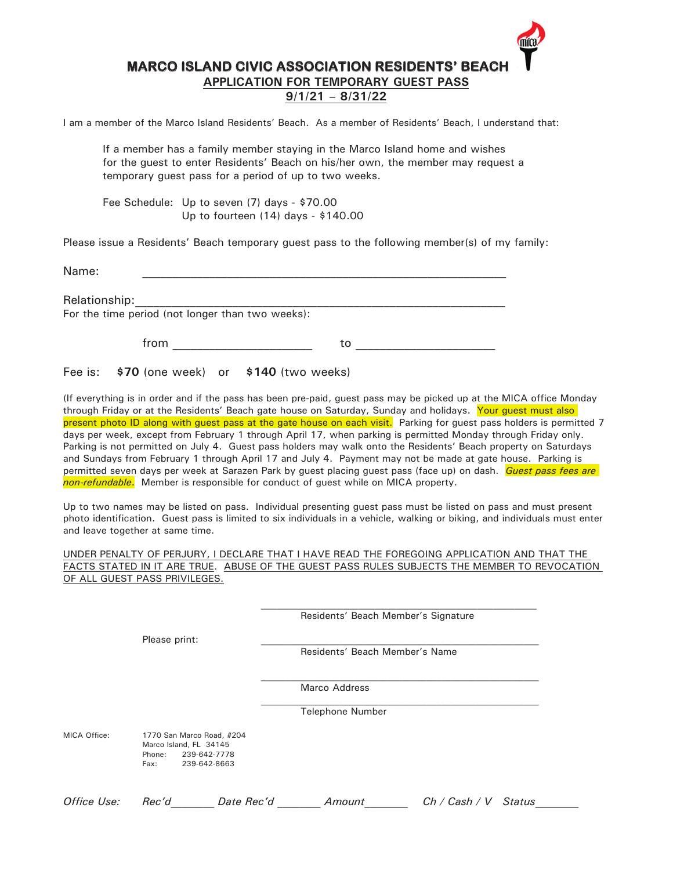## **MARCO ISLAND CIVIC ASSOCIATION RESIDENTS' BEACH**

**APPLICATION FOR TEMPORARY GUEST PASS**

### **9/1/21 – 8/31/22**

I am a member of the Marco Island Residents' Beach. As a member of Residents' Beach, I understand that:

If a member has a family member staying in the Marco Island home and wishes for the guest to enter Residents' Beach on his/her own, the member may request a temporary guest pass for a period of up to two weeks.

Fee Schedule: Up to seven (7) days - \$70.00 Up to fourteen (14) days - \$140.00

Please issue a Residents' Beach temporary guest pass to the following member(s) of my family:

Name: <u>with the community of the community of the community of the community of the community of the community of the community of the community of the community of the community of the community of the community of the co</u>

Relationship:

For the time period (not longer than two weeks):

from to to the state of  $\sim$ 

Fee is: **\$70** (one week) or **\$140** (two weeks)

(If everything is in order and if the pass has been pre-paid, guest pass may be picked up at the MICA office Monday through Friday or at the Residents' Beach gate house on Saturday, Sunday and holidays. Your guest must also present photo ID along with guest pass at the gate house on each visit. Parking for guest pass holders is permitted 7 days per week, except from February 1 through April 17, when parking is permitted Monday through Friday only. Parking is not permitted on July 4. Guest pass holders may walk onto the Residents' Beach property on Saturdays and Sundays from February 1 through April 17 and July 4. Payment may not be made at gate house. Parking is permitted seven days per week at Sarazen Park by guest placing guest pass (face up) on dash. *Guest pass fees are non-refundable*. Member is responsible for conduct of guest while on MICA property.

Up to two names may be listed on pass. Individual presenting guest pass must be listed on pass and must present photo identification. Guest pass is limited to six individuals in a vehicle, walking or biking, and individuals must enter and leave together at same time.

#### UNDER PENALTY OF PERJURY, I DECLARE THAT I HAVE READ THE FOREGOING APPLICATION AND THAT THE FACTS STATED IN IT ARE TRUE. ABUSE OF THE GUEST PASS RULES SUBJECTS THE MEMBER TO REVOCATION OF ALL GUEST PASS PRIVILEGES.

Residents' Beach Member's Signature

 $\mathcal{L}_\text{max}$  and the contract of the contract of the contract of the contract of the contract of the contract of the contract of the contract of the contract of the contract of the contract of the contract of the contrac

 $\mathcal{L}_\text{max}$  and the contract of the contract of the contract of the contract of the contract of the contract of the contract of the contract of the contract of the contract of the contract of the contract of the contrac

Please print:

Residents' Beach Member's Name

Marco Address

Telephone Number

MICA Office: 1770 San Marco Road, #204 Marco Island, FL 34145 Phone: 239-642-7778 Fax: 239-642-8663

*Office Use: Rec'd\_\_\_\_\_\_\_\_ Date Rec'd \_\_\_\_\_\_\_\_ Amount\_\_\_\_\_\_\_\_ Ch / Cash / V Status\_\_\_\_\_\_\_\_*